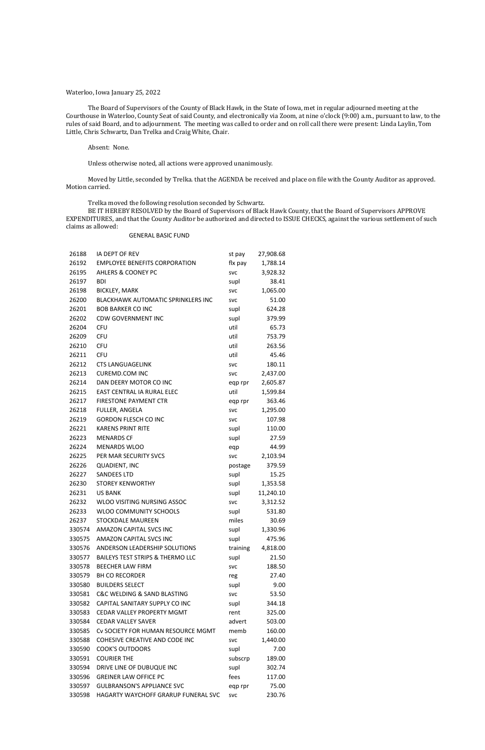### Waterloo, Iowa January 25, 2022

The Board of Supervisors of the County of Black Hawk, in the State of Iowa, met in regular adjourned meeting at the Courthouse in Waterloo, County Seat of said County, and electronically via Zoom, at nine o'clock (9:00) a.m., pursuant to law, to the rules of said Board, and to adjournment. The meeting was called to order and on roll call there were present: Linda Laylin, Tom Little, Chris Schwartz, Dan Trelka and Craig White, Chair.

### Absent: None.

Unless otherwise noted, all actions were approved unanimously.

Moved by Little, seconded by Trelka. that the AGENDA be received and place on file with the County Auditor as approved. Motion carried.

Trelka moved the following resolution seconded by Schwartz.

BE IT HEREBY RESOLVED by the Board of Supervisors of Black Hawk County, that the Board of Supervisors APPROVE EXPENDITURES, and that the County Auditor be authorized and directed to ISSUE CHECKS, against the various settlement of such claims as allowed:

### GENERAL BASIC FUND

| 26188  | IA DEPT OF REV                              | st pay     | 27,908.68 |
|--------|---------------------------------------------|------------|-----------|
| 26192  | <b>EMPLOYEE BENEFITS CORPORATION</b>        | flx pay    | 1,788.14  |
| 26195  | <b>AHLERS &amp; COONEY PC</b>               | <b>SVC</b> | 3,928.32  |
| 26197  | <b>BDI</b>                                  | supl       | 38.41     |
| 26198  | <b>BICKLEY, MARK</b>                        | <b>SVC</b> | 1,065.00  |
| 26200  | <b>BLACKHAWK AUTOMATIC SPRINKLERS INC</b>   | <b>SVC</b> | 51.00     |
| 26201  | <b>BOB BARKER CO INC</b>                    | supl       | 624.28    |
| 26202  | <b>CDW GOVERNMENT INC</b>                   | supl       | 379.99    |
| 26204  | <b>CFU</b>                                  | util       | 65.73     |
| 26209  | <b>CFU</b>                                  | util       | 753.79    |
| 26210  | <b>CFU</b>                                  | util       | 263.56    |
| 26211  | <b>CFU</b>                                  | util       | 45.46     |
| 26212  | <b>CTS LANGUAGELINK</b>                     | <b>SVC</b> | 180.11    |
| 26213  | <b>CUREMD.COM INC</b>                       | <b>SVC</b> | 2,437.00  |
| 26214  | DAN DEERY MOTOR CO INC                      | eqp rpr    | 2,605.87  |
| 26215  | EAST CENTRAL IA RURAL ELEC                  | util       | 1,599.84  |
| 26217  | <b>FIRESTONE PAYMENT CTR</b>                | eqp rpr    | 363.46    |
| 26218  | FULLER, ANGELA                              | <b>SVC</b> | 1,295.00  |
| 26219  | <b>GORDON FLESCH CO INC</b>                 | <b>SVC</b> | 107.98    |
| 26221  | <b>KARENS PRINT RITE</b>                    | supl       | 110.00    |
| 26223  | <b>MENARDS CF</b>                           | supl       | 27.59     |
| 26224  | <b>MENARDS WLOO</b>                         | eqp        | 44.99     |
| 26225  | PER MAR SECURITY SVCS                       | <b>SVC</b> | 2,103.94  |
| 26226  | <b>QUADIENT, INC</b>                        | postage    | 379.59    |
| 26227  | <b>SANDEES LTD</b>                          | supl       | 15.25     |
| 26230  | <b>STOREY KENWORTHY</b>                     | supl       | 1,353.58  |
| 26231  | <b>US BANK</b>                              | supl       | 11,240.10 |
| 26232  | <b>WLOO VISITING NURSING ASSOC</b>          | <b>SVC</b> | 3,312.52  |
| 26233  | WLOO COMMUNITY SCHOOLS                      | supl       | 531.80    |
| 26237  | <b>STOCKDALE MAUREEN</b>                    | miles      | 30.69     |
| 330574 | <b>AMAZON CAPITAL SVCS INC</b>              | supl       | 1,330.96  |
| 330575 | <b>AMAZON CAPITAL SVCS INC</b>              | supl       | 475.96    |
| 330576 | ANDERSON LEADERSHIP SOLUTIONS               | training   | 4,818.00  |
| 330577 | <b>BAILEYS TEST STRIPS &amp; THERMO LLC</b> | supl       | 21.50     |
| 330578 | <b>BEECHER LAW FIRM</b>                     | <b>SVC</b> | 188.50    |
| 330579 | <b>BH CO RECORDER</b>                       | reg        | 27.40     |
| 330580 | <b>BUILDERS SELECT</b>                      | supl       | 9.00      |
| 330581 | C&C WELDING & SAND BLASTING                 | <b>SVC</b> | 53.50     |
| 330582 | CAPITAL SANITARY SUPPLY CO INC              | supl       | 344.18    |
| 330583 | <b>CEDAR VALLEY PROPERTY MGMT</b>           | rent       | 325.00    |
| 330584 | <b>CEDAR VALLEY SAVER</b>                   | advert     | 503.00    |
| 330585 | CV SOCIETY FOR HUMAN RESOURCE MGMT          | memb       | 160.00    |
| 330588 | COHESIVE CREATIVE AND CODE INC              | <b>SVC</b> | 1,440.00  |
| 330590 | <b>COOK'S OUTDOORS</b>                      | supl       | 7.00      |
| 330591 | <b>COURIER THE</b>                          | subscrp    | 189.00    |
| 330594 | DRIVE LINE OF DUBUQUE INC                   | supl       | 302.74    |
| 330596 | <b>GREINER LAW OFFICE PC</b>                | fees       | 117.00    |
| 330597 | <b>GULBRANSON'S APPLIANCE SVC</b>           | eqp rpr    | 75.00     |
| 330598 | HAGARTY WAYCHOFF GRARUP FUNERAL SVC         | <b>SVC</b> | 230.76    |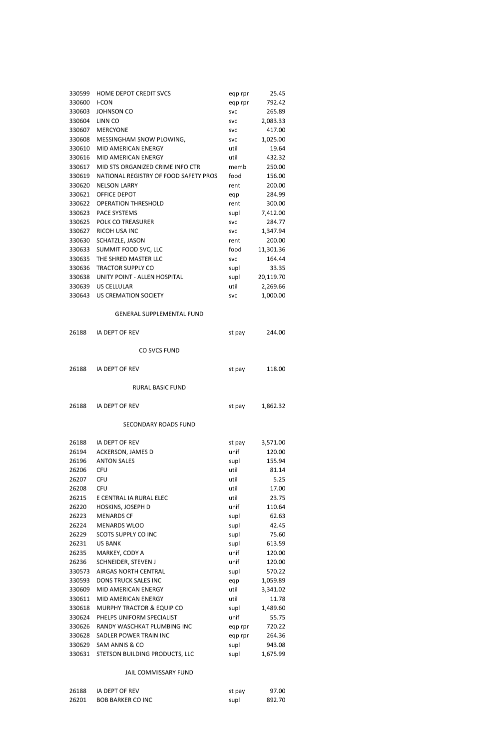| 330599         | <b>HOME DEPOT CREDIT SVCS</b>         | eqp rpr    | 25.45          |
|----------------|---------------------------------------|------------|----------------|
| 330600         | <b>I-CON</b>                          | eqp rpr    | 792.42         |
| 330603         | <b>JOHNSON CO</b>                     | <b>SVC</b> | 265.89         |
| 330604         | LINN CO                               | <b>SVC</b> | 2,083.33       |
| 330607         | <b>MERCYONE</b>                       | <b>SVC</b> | 417.00         |
| 330608         | MESSINGHAM SNOW PLOWING,              | <b>SVC</b> | 1,025.00       |
| 330610         | MID AMERICAN ENERGY                   | util       | 19.64          |
| 330616         | MID AMERICAN ENERGY                   | util       | 432.32         |
| 330617         | MID STS ORGANIZED CRIME INFO CTR      | memb       | 250.00         |
| 330619         | NATIONAL REGISTRY OF FOOD SAFETY PROS | food       | 156.00         |
| 330620         | <b>NELSON LARRY</b>                   | rent       | 200.00         |
| 330621         | <b>OFFICE DEPOT</b>                   | eqp        | 284.99         |
| 330622         | <b>OPERATION THRESHOLD</b>            | rent       | 300.00         |
| 330623         | <b>PACE SYSTEMS</b>                   | supl       | 7,412.00       |
| 330625         | POLK CO TREASURER                     | <b>SVC</b> | 284.77         |
| 330627         | <b>RICOH USA INC</b>                  | <b>SVC</b> | 1,347.94       |
| 330630         | SCHATZLE, JASON                       | rent       | 200.00         |
| 330633         | SUMMIT FOOD SVC, LLC                  | food       | 11,301.36      |
| 330635         | THE SHRED MASTER LLC                  | <b>SVC</b> | 164.44         |
| 330636         | <b>TRACTOR SUPPLY CO</b>              | supl       | 33.35          |
| 330638         | UNITY POINT - ALLEN HOSPITAL          | supl       | 20,119.70      |
| 330639         | <b>US CELLULAR</b>                    | util       | 2,269.66       |
| 330643         | <b>US CREMATION SOCIETY</b>           | <b>SVC</b> | 1,000.00       |
|                |                                       |            |                |
|                | <b>GENERAL SUPPLEMENTAL FUND</b>      |            |                |
| 26188          | IA DEPT OF REV                        | st pay     | 244.00         |
|                | <b>CO SVCS FUND</b>                   |            |                |
|                |                                       |            |                |
| 26188          | IA DEPT OF REV                        | st pay     | 118.00         |
|                | <b>RURAL BASIC FUND</b>               |            |                |
| 26188          | IA DEPT OF REV                        | st pay     | 1,862.32       |
|                | <b>SECONDARY ROADS FUND</b>           |            |                |
| 26188          | IA DEPT OF REV                        | st pay     | 3,571.00       |
| 26194          | ACKERSON, JAMES D                     | unif       | 120.00         |
| 26196          | <b>ANTON SALES</b>                    | supl       | 155.94         |
| 26206          | <b>CFU</b>                            | util       | 81.14          |
| 26207          | <b>CFU</b>                            | util       | 5.25           |
|                |                                       | util       |                |
| 26208<br>26215 | <b>CFU</b><br>E CENTRAL IA RURAL ELEC | util       | 17.00<br>23.75 |
|                |                                       | unif       |                |
| 26220          | HOSKINS, JOSEPH D                     |            | 110.64         |
| 26223          | <b>MENARDS CF</b>                     | supl       | 62.63          |
| 26224          | <b>MENARDS WLOO</b>                   | supl       | 42.45          |
| 26229          | <b>SCOTS SUPPLY CO INC</b>            | supl       | 75.60          |
| 26231          | <b>US BANK</b>                        | supl       | 613.59         |

| 26235  | MARKEY, CODY A                       | unif    | 120.00   |
|--------|--------------------------------------|---------|----------|
| 26236  | <b>SCHNEIDER, STEVEN J</b>           | unif    | 120.00   |
| 330573 | AIRGAS NORTH CENTRAL                 | supl    | 570.22   |
| 330593 | <b>DONS TRUCK SALES INC</b>          | eqp     | 1,059.89 |
| 330609 | MID AMERICAN ENERGY                  | util    | 3,341.02 |
| 330611 | MID AMERICAN ENERGY                  | util    | 11.78    |
| 330618 | <b>MURPHY TRACTOR &amp; EQUIP CO</b> | supl    | 1,489.60 |
| 330624 | PHELPS UNIFORM SPECIALIST            | unif    | 55.75    |
| 330626 | RANDY WASCHKAT PLUMBING INC          | eqp rpr | 720.22   |
| 330628 | SADLER POWER TRAIN INC               | egp rpr | 264.36   |
| 330629 | SAM ANNIS & CO                       | supl    | 943.08   |
| 330631 | STETSON BUILDING PRODUCTS, LLC       | supl    | 1,675.99 |

# JAIL COMMISSARY FUND

| 26188 | IA DEPT OF REV           | st pay | 97.00  |
|-------|--------------------------|--------|--------|
| 26201 | <b>BOB BARKER CO INC</b> | supl   | 892.70 |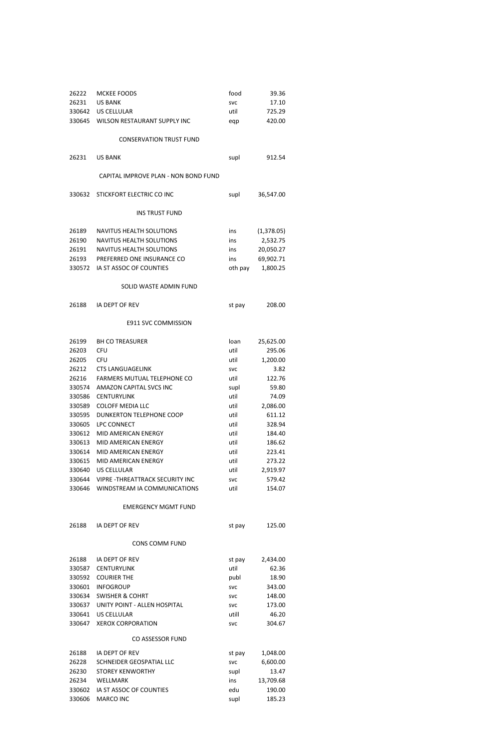| 26222  | <b>MCKEE FOODS</b>                    | food       | 39.36      |
|--------|---------------------------------------|------------|------------|
| 26231  | <b>US BANK</b>                        | <b>SVC</b> | 17.10      |
| 330642 | <b>US CELLULAR</b>                    | util       | 725.29     |
|        | 330645 WILSON RESTAURANT SUPPLY INC   | eqp        | 420.00     |
|        |                                       |            |            |
|        | <b>CONSERVATION TRUST FUND</b>        |            |            |
| 26231  | <b>US BANK</b>                        | supl       | 912.54     |
|        | CAPITAL IMPROVE PLAN - NON BOND FUND  |            |            |
| 330632 | STICKFORT ELECTRIC CO INC             | supl       | 36,547.00  |
|        | <b>INS TRUST FUND</b>                 |            |            |
| 26189  | <b>NAVITUS HEALTH SOLUTIONS</b>       | ins        | (1,378.05) |
| 26190  | <b>NAVITUS HEALTH SOLUTIONS</b>       | ins        | 2,532.75   |
| 26191  | NAVITUS HEALTH SOLUTIONS              | ins        | 20,050.27  |
| 26193  | PREFERRED ONE INSURANCE CO            | ins        | 69,902.71  |
| 330572 | IA ST ASSOC OF COUNTIES               | oth pay    | 1,800.25   |
|        | SOLID WASTE ADMIN FUND                |            |            |
| 26188  | IA DEPT OF REV                        | st pay     | 208.00     |
|        | <b>E911 SVC COMMISSION</b>            |            |            |
| 26199  | <b>BH CO TREASURER</b>                | loan       | 25,625.00  |
| 26203  | <b>CFU</b>                            | util       | 295.06     |
| 26205  | <b>CFU</b>                            | util       | 1,200.00   |
| 26212  | <b>CTS LANGUAGELINK</b>               | <b>SVC</b> | 3.82       |
| 26216  | FARMERS MUTUAL TELEPHONE CO           | util       | 122.76     |
| 330574 | AMAZON CAPITAL SVCS INC               | supl       | 59.80      |
| 330586 | <b>CENTURYLINK</b>                    | util       | 74.09      |
| 330589 | <b>COLOFF MEDIA LLC</b>               | util       | 2,086.00   |
| 330595 | DUNKERTON TELEPHONE COOP              | util       | 611.12     |
| 330605 | LPC CONNECT                           | util       | 328.94     |
| 330612 | MID AMERICAN ENERGY                   | util       | 184.40     |
| 330613 | <b>MID AMERICAN ENERGY</b>            | util       | 186.62     |
| 330614 | MID AMERICAN ENERGY                   | util       | 223.41     |
| 330615 | MID AMERICAN ENERGY                   | util       | 273.22     |
| 330640 | US CELLULAR                           | util       | 2,919.97   |
| 330644 | <b>VIPRE-THREATTRACK SECURITY INC</b> | <b>SVC</b> | 579.42     |
| 330646 | WINDSTREAM IA COMMUNICATIONS          | util       | 154.07     |

# EMERGENCY MGMT FUND

| 26188 | IA DEPT OF REV | st pay | 125.00 |
|-------|----------------|--------|--------|
|       |                |        |        |

# CONS COMM FUND

| 26188  | IA DEPT OF REV               | st pay     | 2,434.00 |
|--------|------------------------------|------------|----------|
| 330587 | <b>CENTURYLINK</b>           | util       | 62.36    |
| 330592 | <b>COURIER THE</b>           | publ       | 18.90    |
| 330601 | <b>INFOGROUP</b>             | <b>SVC</b> | 343.00   |
| 330634 | <b>SWISHER &amp; COHRT</b>   | <b>SVC</b> | 148.00   |
| 330637 | UNITY POINT - ALLEN HOSPITAL | <b>SVC</b> | 173.00   |
| 330641 | US CELLULAR                  | utill      | 46.20    |
| 330647 | <b>XEROX CORPORATION</b>     | <b>SVC</b> | 304.67   |

# CO ASSESSOR FUND

| 26188  | IA DEPT OF REV                 | st pay     | 1,048.00  |
|--------|--------------------------------|------------|-----------|
| 26228  | SCHNEIDER GEOSPATIAL LLC       | <b>SVC</b> | 6,600.00  |
| 26230  | <b>STOREY KENWORTHY</b>        | supl       | 13.47     |
| 26234  | <b>WELLMARK</b>                | ins        | 13,709.68 |
|        | 330602 IA ST ASSOC OF COUNTIES | edu        | 190.00    |
| 330606 | MARCO INC                      | supl       | 185.23    |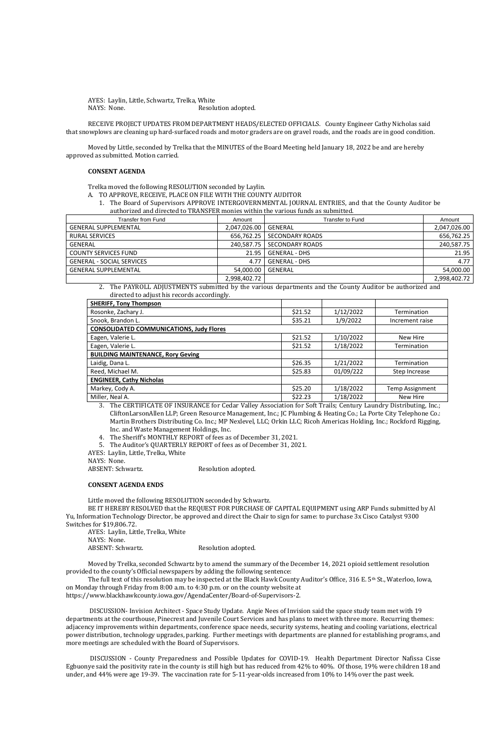AYES: Laylin, Little, Schwartz, Trelka, White NAYS: None. Resolution adopted.

RECEIVE PROJECT UPDATES FROM DEPARTMENT HEADS/ELECTED OFFICIALS. County Engineer Cathy Nicholas said that snowplows are cleaning up hard-surfaced roads and motor graders are on gravel roads, and the roads are in good condition.

Moved by Little, seconded by Trelka that the MINUTES of the Board Meeting held January 18, 2022 be and are hereby approved as submitted. Motion carried.

### **CONSENT AGENDA**

Trelka moved the following RESOLUTION seconded by Laylin.

2. The PAYROLL ADJUSTMENTS submitted by the various departments and the County Auditor be authorized and directed to adjust his records accordingly.

- A. TO APPROVE, RECEIVE, PLACE ON FILE WITH THE COUNTY AUDITOR
	- 1. The Board of Supervisors APPROVE INTERGOVERNMENTAL JOURNAL ENTRIES, and that the County Auditor be authorized and directed to TRANSFER monies within the various funds as submitted.

| <b>Transfer from Fund</b>        | Amount                 | <b>Transfer to Fund</b>      | Amount       |
|----------------------------------|------------------------|------------------------------|--------------|
| <b>GENERAL SUPPLEMENTAL</b>      | 2,047,026.00   GENERAL |                              | 2,047,026.00 |
| <b>RURAL SERVICES</b>            |                        | 656,762.25 SECONDARY ROADS   | 656,762.25   |
| GENERAL                          |                        | 240,587.75   SECONDARY ROADS | 240,587.75   |
| <b>COUNTY SERVICES FUND</b>      |                        | 21.95   GENERAL - DHS        | 21.95        |
| <b>GENERAL - SOCIAL SERVICES</b> | 4.77                   | <b>GENERAL - DHS</b>         | 4.77         |
| <b>GENERAL SUPPLEMENTAL</b>      | 54,000.00   GENERAL    |                              | 54,000.00    |
|                                  | 2,998,402.72           |                              | 2,998,402.72 |

AYES: Laylin, Little, Trelka, White NAYS: None. ABSENT: Schwartz. Resolution adopted.

| <b>SHERIFF, Tony Thompson</b>                   |         |           |                 |
|-------------------------------------------------|---------|-----------|-----------------|
| Rosonke, Zachary J.                             | \$21.52 | 1/12/2022 | Termination     |
| Snook, Brandon L.                               | \$35.21 | 1/9/2022  | Increment raise |
| <b>CONSOLIDATED COMMUNICATIONS, Judy Flores</b> |         |           |                 |
| Eagen, Valerie L.                               | \$21.52 | 1/10/2022 | New Hire        |
| Eagen, Valerie L.                               | \$21.52 | 1/18/2022 | Termination     |
| <b>BUILDING MAINTENANCE, Rory Geving</b>        |         |           |                 |
| Laidig, Dana L.                                 | \$26.35 | 1/21/2022 | Termination     |
| Reed, Michael M.                                | \$25.83 | 01/09/222 | Step Increase   |
| <b>ENGINEER, Cathy Nicholas</b>                 |         |           |                 |
| Markey, Cody A.                                 | \$25.20 | 1/18/2022 | Temp Assignment |
| Miller, Neal A.                                 | \$22.23 | 1/18/2022 | New Hire        |

3. The CERTIFICATE OF INSURANCE for Cedar Valley Association for Soft Trails; Century Laundry Distributing, Inc.; CliftonLarsonAllen LLP; Green Resource Management, Inc.; JC Plumbing & Heating Co.; La Porte City Telephone Co.: Martin Brothers Distributing Co. Inc.; MP Nexlevel, LLC; Orkin LLC; Ricoh Americas Holding, Inc.; Rockford Rigging, Inc. and Waste Management Holdings, Inc.

4. The Sheriff's MONTHLY REPORT of fees as of December 31, 2021.

5. The Auditor's QUARTERLY REPORT of fees as of December 31, 2021.

AYES: Laylin, Little, Trelka, White

NAYS: None.

ABSENT: Schwartz. Resolution adopted.

#### **CONSENT AGENDA ENDS**

Little moved the following RESOLUTION seconded by Schwartz.

BE IT HEREBY RESOLVED that the REQUEST FOR PURCHASE OF CAPITAL EQUIPMENT using ARP Funds submitted by Al Yu, Information Technology Director, be approved and direct the Chair to sign for same: to purchase 3x Cisco Catalyst 9300 Switches for \$19,806.72.

Moved by Trelka, seconded Schwartz by to amend the summary of the December 14, 2021 opioid settlement resolution provided to the county's Official newspapers by adding the following sentence:

The full text of this resolution may be inspected at the Black Hawk County Auditor's Office, 316 E. 5th St., Waterloo, Iowa, on Monday through Friday from 8:00 a.m. to 4:30 p.m. or on the county website at https://www.blackhawkcounty.iowa.gov/AgendaCenter/Board-of-Supervisors-2.

 DISCUSSION- Invision Architect - Space Study Update. Angie Nees of Invision said the space study team met with 19 departments at the courthouse, Pinecrest and Juvenile Court Services and has plans to meet with three more. Recurring themes: adjacency improvements within departments, conference space needs, security systems, heating and cooling variations, electrical power distribution, technology upgrades, parking. Further meetings with departments are planned for establishing programs, and more meetings are scheduled with the Board of Supervisors.

 DISCUSSION - County Preparedness and Possible Updates for COVID-19. Health Department Director Nafissa Cisse Egbuonye said the positivity rate in the county is still high but has reduced from 42% to 40%. Of those, 19% were children 18 and under, and 44% were age 19-39. The vaccination rate for 5-11-year-olds increased from 10% to 14% over the past week.